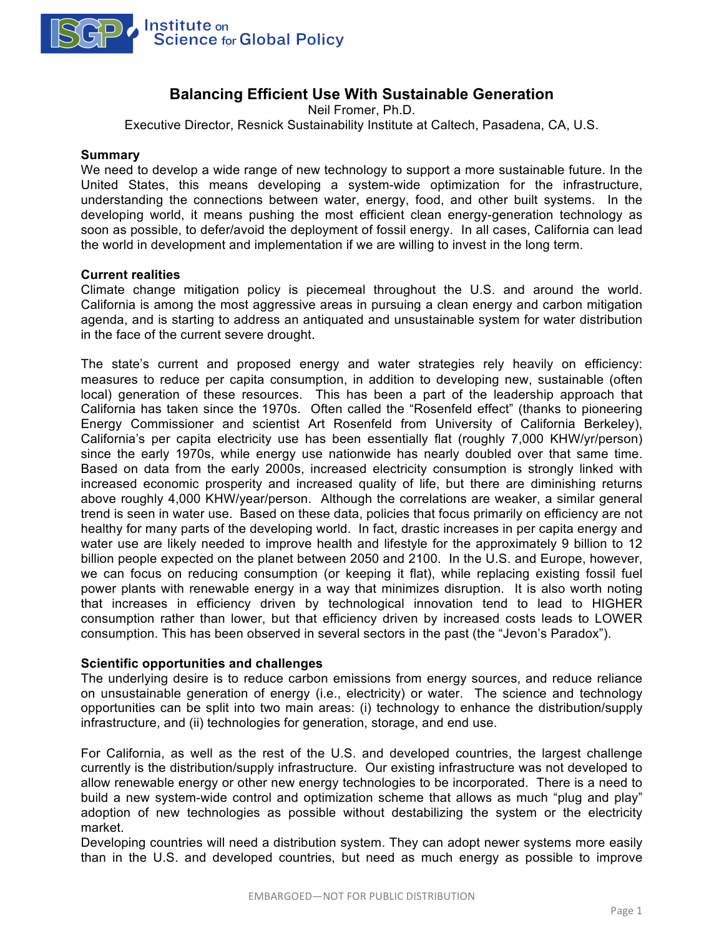

# **Balancing Efficient Use With Sustainable Generation**

Neil Fromer, Ph.D.

Executive Director, Resnick Sustainability Institute at Caltech, Pasadena, CA, U.S.

#### **Summary**

We need to develop a wide range of new technology to support a more sustainable future. In the United States, this means developing a system-wide optimization for the infrastructure, understanding the connections between water, energy, food, and other built systems. In the developing world, it means pushing the most efficient clean energy-generation technology as soon as possible, to defer/avoid the deployment of fossil energy. In all cases, California can lead the world in development and implementation if we are willing to invest in the long term.

### **Current realities**

Climate change mitigation policy is piecemeal throughout the U.S. and around the world. California is among the most aggressive areas in pursuing a clean energy and carbon mitigation agenda, and is starting to address an antiquated and unsustainable system for water distribution in the face of the current severe drought.

The state's current and proposed energy and water strategies rely heavily on efficiency: measures to reduce per capita consumption, in addition to developing new, sustainable (often local) generation of these resources. This has been a part of the leadership approach that California has taken since the 1970s. Often called the "Rosenfeld effect" (thanks to pioneering Energy Commissioner and scientist Art Rosenfeld from University of California Berkeley), California's per capita electricity use has been essentially flat (roughly 7,000 KHW/yr/person) since the early 1970s, while energy use nationwide has nearly doubled over that same time. Based on data from the early 2000s, increased electricity consumption is strongly linked with increased economic prosperity and increased quality of life, but there are diminishing returns above roughly 4,000 KHW/year/person. Although the correlations are weaker, a similar general trend is seen in water use. Based on these data, policies that focus primarily on efficiency are not healthy for many parts of the developing world. In fact, drastic increases in per capita energy and water use are likely needed to improve health and lifestyle for the approximately 9 billion to 12 billion people expected on the planet between 2050 and 2100. In the U.S. and Europe, however, we can focus on reducing consumption (or keeping it flat), while replacing existing fossil fuel power plants with renewable energy in a way that minimizes disruption. It is also worth noting that increases in efficiency driven by technological innovation tend to lead to HIGHER consumption rather than lower, but that efficiency driven by increased costs leads to LOWER consumption. This has been observed in several sectors in the past (the "Jevon's Paradox").

## **Scientific opportunities and challenges**

The underlying desire is to reduce carbon emissions from energy sources, and reduce reliance on unsustainable generation of energy (i.e., electricity) or water. The science and technology opportunities can be split into two main areas: (i) technology to enhance the distribution/supply infrastructure, and (ii) technologies for generation, storage, and end use.

For California, as well as the rest of the U.S. and developed countries, the largest challenge currently is the distribution/supply infrastructure. Our existing infrastructure was not developed to allow renewable energy or other new energy technologies to be incorporated. There is a need to build a new system-wide control and optimization scheme that allows as much "plug and play" adoption of new technologies as possible without destabilizing the system or the electricity market.

Developing countries will need a distribution system. They can adopt newer systems more easily than in the U.S. and developed countries, but need as much energy as possible to improve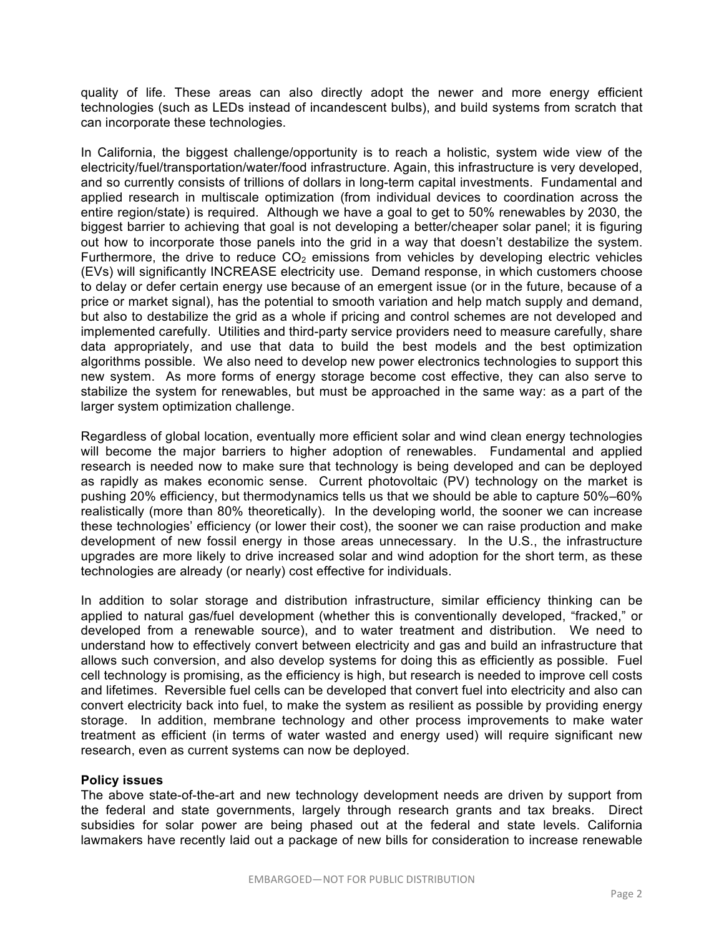quality of life. These areas can also directly adopt the newer and more energy efficient technologies (such as LEDs instead of incandescent bulbs), and build systems from scratch that can incorporate these technologies.

In California, the biggest challenge/opportunity is to reach a holistic, system wide view of the electricity/fuel/transportation/water/food infrastructure. Again, this infrastructure is very developed, and so currently consists of trillions of dollars in long-term capital investments. Fundamental and applied research in multiscale optimization (from individual devices to coordination across the entire region/state) is required. Although we have a goal to get to 50% renewables by 2030, the biggest barrier to achieving that goal is not developing a better/cheaper solar panel; it is figuring out how to incorporate those panels into the grid in a way that doesn't destabilize the system. Furthermore, the drive to reduce  $CO<sub>2</sub>$  emissions from vehicles by developing electric vehicles (EVs) will significantly INCREASE electricity use. Demand response, in which customers choose to delay or defer certain energy use because of an emergent issue (or in the future, because of a price or market signal), has the potential to smooth variation and help match supply and demand, but also to destabilize the grid as a whole if pricing and control schemes are not developed and implemented carefully. Utilities and third-party service providers need to measure carefully, share data appropriately, and use that data to build the best models and the best optimization algorithms possible. We also need to develop new power electronics technologies to support this new system. As more forms of energy storage become cost effective, they can also serve to stabilize the system for renewables, but must be approached in the same way: as a part of the larger system optimization challenge.

Regardless of global location, eventually more efficient solar and wind clean energy technologies will become the major barriers to higher adoption of renewables. Fundamental and applied research is needed now to make sure that technology is being developed and can be deployed as rapidly as makes economic sense. Current photovoltaic (PV) technology on the market is pushing 20% efficiency, but thermodynamics tells us that we should be able to capture 50%–60% realistically (more than 80% theoretically). In the developing world, the sooner we can increase these technologies' efficiency (or lower their cost), the sooner we can raise production and make development of new fossil energy in those areas unnecessary. In the U.S., the infrastructure upgrades are more likely to drive increased solar and wind adoption for the short term, as these technologies are already (or nearly) cost effective for individuals.

In addition to solar storage and distribution infrastructure, similar efficiency thinking can be applied to natural gas/fuel development (whether this is conventionally developed, "fracked," or developed from a renewable source), and to water treatment and distribution. We need to understand how to effectively convert between electricity and gas and build an infrastructure that allows such conversion, and also develop systems for doing this as efficiently as possible. Fuel cell technology is promising, as the efficiency is high, but research is needed to improve cell costs and lifetimes. Reversible fuel cells can be developed that convert fuel into electricity and also can convert electricity back into fuel, to make the system as resilient as possible by providing energy storage. In addition, membrane technology and other process improvements to make water treatment as efficient (in terms of water wasted and energy used) will require significant new research, even as current systems can now be deployed.

## **Policy issues**

The above state-of-the-art and new technology development needs are driven by support from the federal and state governments, largely through research grants and tax breaks. Direct subsidies for solar power are being phased out at the federal and state levels. California lawmakers have recently laid out a package of new bills for consideration to increase renewable